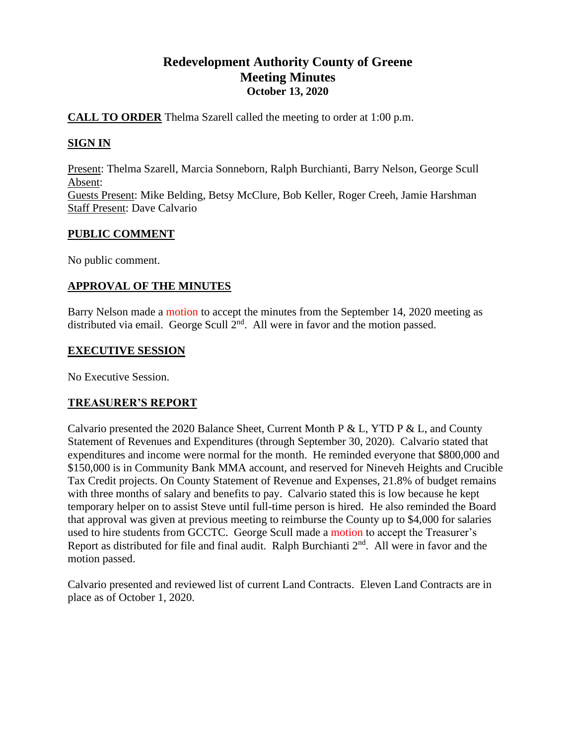# **Redevelopment Authority County of Greene Meeting Minutes October 13, 2020**

## **CALL TO ORDER** Thelma Szarell called the meeting to order at 1:00 p.m.

## **SIGN IN**

Present: Thelma Szarell, Marcia Sonneborn, Ralph Burchianti, Barry Nelson, George Scull Absent: Guests Present: Mike Belding, Betsy McClure, Bob Keller, Roger Creeh, Jamie Harshman Staff Present: Dave Calvario

## **PUBLIC COMMENT**

No public comment.

## **APPROVAL OF THE MINUTES**

Barry Nelson made a motion to accept the minutes from the September 14, 2020 meeting as distributed via email. George Scull  $2<sup>nd</sup>$ . All were in favor and the motion passed.

### **EXECUTIVE SESSION**

No Executive Session.

## **TREASURER'S REPORT**

Calvario presented the 2020 Balance Sheet, Current Month P & L, YTD P & L, and County Statement of Revenues and Expenditures (through September 30, 2020). Calvario stated that expenditures and income were normal for the month. He reminded everyone that \$800,000 and \$150,000 is in Community Bank MMA account, and reserved for Nineveh Heights and Crucible Tax Credit projects. On County Statement of Revenue and Expenses, 21.8% of budget remains with three months of salary and benefits to pay. Calvario stated this is low because he kept temporary helper on to assist Steve until full-time person is hired. He also reminded the Board that approval was given at previous meeting to reimburse the County up to \$4,000 for salaries used to hire students from GCCTC. George Scull made a motion to accept the Treasurer's Report as distributed for file and final audit. Ralph Burchianti  $2<sup>nd</sup>$ . All were in favor and the motion passed.

Calvario presented and reviewed list of current Land Contracts. Eleven Land Contracts are in place as of October 1, 2020.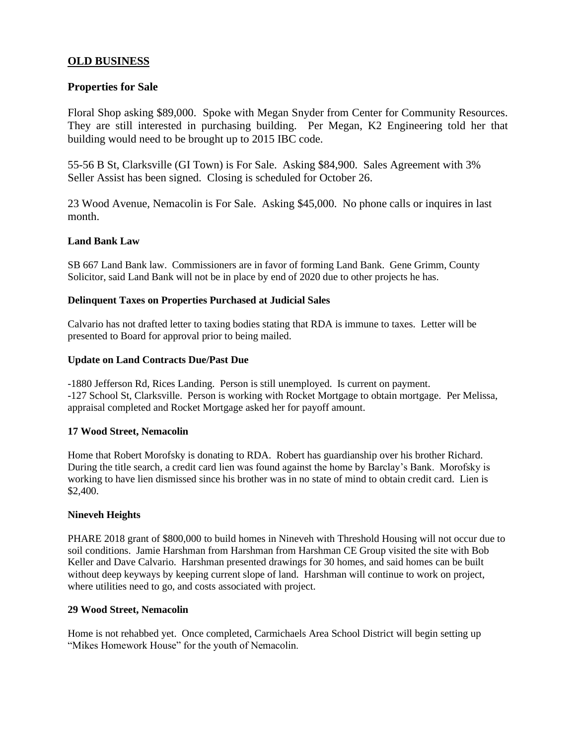### **OLD BUSINESS**

#### **Properties for Sale**

Floral Shop asking \$89,000. Spoke with Megan Snyder from Center for Community Resources. They are still interested in purchasing building. Per Megan, K2 Engineering told her that building would need to be brought up to 2015 IBC code.

55-56 B St, Clarksville (GI Town) is For Sale. Asking \$84,900. Sales Agreement with 3% Seller Assist has been signed. Closing is scheduled for October 26.

23 Wood Avenue, Nemacolin is For Sale. Asking \$45,000. No phone calls or inquires in last month.

### **Land Bank Law**

SB 667 Land Bank law. Commissioners are in favor of forming Land Bank. Gene Grimm, County Solicitor, said Land Bank will not be in place by end of 2020 due to other projects he has.

#### **Delinquent Taxes on Properties Purchased at Judicial Sales**

Calvario has not drafted letter to taxing bodies stating that RDA is immune to taxes. Letter will be presented to Board for approval prior to being mailed.

#### **Update on Land Contracts Due/Past Due**

-1880 Jefferson Rd, Rices Landing. Person is still unemployed. Is current on payment. -127 School St, Clarksville. Person is working with Rocket Mortgage to obtain mortgage. Per Melissa, appraisal completed and Rocket Mortgage asked her for payoff amount.

#### **17 Wood Street, Nemacolin**

Home that Robert Morofsky is donating to RDA. Robert has guardianship over his brother Richard. During the title search, a credit card lien was found against the home by Barclay's Bank. Morofsky is working to have lien dismissed since his brother was in no state of mind to obtain credit card. Lien is \$2,400.

#### **Nineveh Heights**

PHARE 2018 grant of \$800,000 to build homes in Nineveh with Threshold Housing will not occur due to soil conditions. Jamie Harshman from Harshman from Harshman CE Group visited the site with Bob Keller and Dave Calvario. Harshman presented drawings for 30 homes, and said homes can be built without deep keyways by keeping current slope of land. Harshman will continue to work on project, where utilities need to go, and costs associated with project.

#### **29 Wood Street, Nemacolin**

Home is not rehabbed yet. Once completed, Carmichaels Area School District will begin setting up "Mikes Homework House" for the youth of Nemacolin.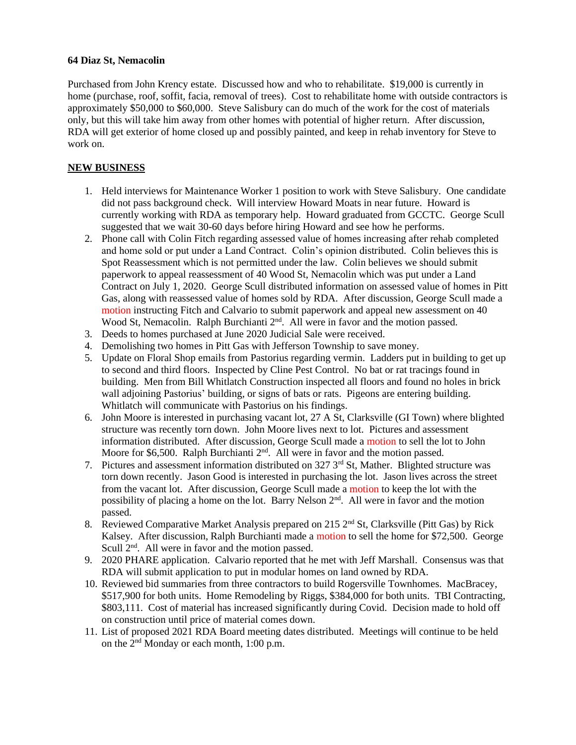#### **64 Diaz St, Nemacolin**

Purchased from John Krency estate. Discussed how and who to rehabilitate. \$19,000 is currently in home (purchase, roof, soffit, facia, removal of trees). Cost to rehabilitate home with outside contractors is approximately \$50,000 to \$60,000. Steve Salisbury can do much of the work for the cost of materials only, but this will take him away from other homes with potential of higher return. After discussion, RDA will get exterior of home closed up and possibly painted, and keep in rehab inventory for Steve to work on.

### **NEW BUSINESS**

- 1. Held interviews for Maintenance Worker 1 position to work with Steve Salisbury. One candidate did not pass background check. Will interview Howard Moats in near future. Howard is currently working with RDA as temporary help. Howard graduated from GCCTC. George Scull suggested that we wait 30-60 days before hiring Howard and see how he performs.
- 2. Phone call with Colin Fitch regarding assessed value of homes increasing after rehab completed and home sold or put under a Land Contract. Colin's opinion distributed. Colin believes this is Spot Reassessment which is not permitted under the law. Colin believes we should submit paperwork to appeal reassessment of 40 Wood St, Nemacolin which was put under a Land Contract on July 1, 2020. George Scull distributed information on assessed value of homes in Pitt Gas, along with reassessed value of homes sold by RDA. After discussion, George Scull made a motion instructing Fitch and Calvario to submit paperwork and appeal new assessment on 40 Wood St, Nemacolin. Ralph Burchianti 2<sup>nd</sup>. All were in favor and the motion passed.
- 3. Deeds to homes purchased at June 2020 Judicial Sale were received.
- 4. Demolishing two homes in Pitt Gas with Jefferson Township to save money.
- 5. Update on Floral Shop emails from Pastorius regarding vermin. Ladders put in building to get up to second and third floors. Inspected by Cline Pest Control. No bat or rat tracings found in building. Men from Bill Whitlatch Construction inspected all floors and found no holes in brick wall adjoining Pastorius' building, or signs of bats or rats. Pigeons are entering building. Whitlatch will communicate with Pastorius on his findings.
- 6. John Moore is interested in purchasing vacant lot, 27 A St, Clarksville (GI Town) where blighted structure was recently torn down. John Moore lives next to lot. Pictures and assessment information distributed. After discussion, George Scull made a motion to sell the lot to John Moore for \$6,500. Ralph Burchianti  $2<sup>nd</sup>$ . All were in favor and the motion passed.
- 7. Pictures and assessment information distributed on 327  $3<sup>rd</sup>$  St, Mather. Blighted structure was torn down recently. Jason Good is interested in purchasing the lot. Jason lives across the street from the vacant lot. After discussion, George Scull made a motion to keep the lot with the possibility of placing a home on the lot. Barry Nelson 2<sup>nd</sup>. All were in favor and the motion passed.
- 8. Reviewed Comparative Market Analysis prepared on 215  $2<sup>nd</sup>$  St, Clarksville (Pitt Gas) by Rick Kalsey. After discussion, Ralph Burchianti made a motion to sell the home for \$72,500. George Scull  $2<sup>nd</sup>$ . All were in favor and the motion passed.
- 9. 2020 PHARE application. Calvario reported that he met with Jeff Marshall. Consensus was that RDA will submit application to put in modular homes on land owned by RDA.
- 10. Reviewed bid summaries from three contractors to build Rogersville Townhomes. MacBracey, \$517,900 for both units. Home Remodeling by Riggs, \$384,000 for both units. TBI Contracting, \$803,111. Cost of material has increased significantly during Covid. Decision made to hold off on construction until price of material comes down.
- 11. List of proposed 2021 RDA Board meeting dates distributed. Meetings will continue to be held on the 2nd Monday or each month, 1:00 p.m.